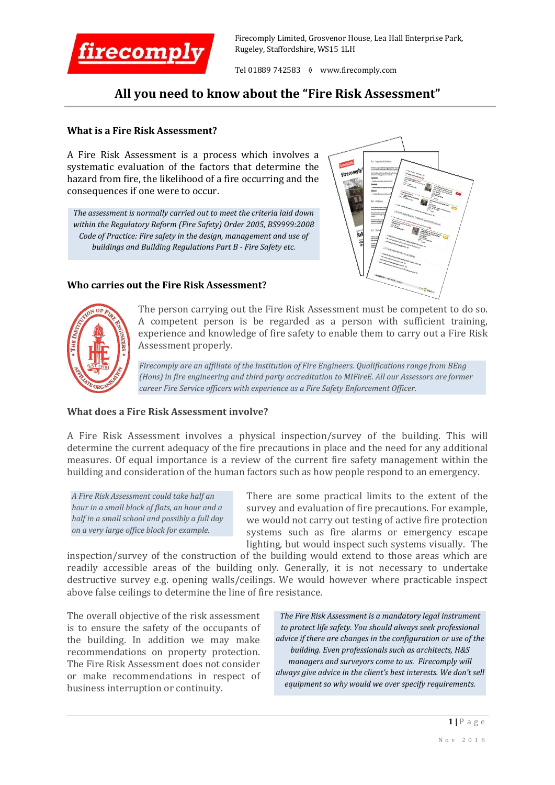

Firecomply Limited, Grosvenor House, Lea Hall Enterprise Park, Rugeley, Staffordshire, WS15 1LH

Tel 01889 742583 ◊ www.firecomply.com

## **All you need to know about the "Fire Risk Assessment"**

#### **What is a Fire Risk Assessment?**

A Fire Risk Assessment is a process which involves a systematic evaluation of the factors that determine the hazard from fire, the likelihood of a fire occurring and the consequences if one were to occur.

*The assessment is normally carried out to meet the criteria laid down within the Regulatory Reform (Fire Safety) Order 2005, BS9999:2008 Code of Practice: Fire safety in the design, management and use of buildings and Building Regulations Part B - Fire Safety etc.*

### **Who carries out the Fire Risk Assessment?**





The person carrying out the Fire Risk Assessment must be competent to do so. A competent person is be regarded as a person with sufficient training, experience and knowledge of fire safety to enable them to carry out a Fire Risk Assessment properly.

*Firecomply are an affiliate of the Institution of Fire Engineers. Qualifications range from BEng (Hons) in fire engineering and third party accreditation to MIFireE. All our Assessors are former career Fire Service officers with experience as a Fire Safety Enforcement Officer.*

#### **What does a Fire Risk Assessment involve?**

A Fire Risk Assessment involves a physical inspection/survey of the building. This will determine the current adequacy of the fire precautions in place and the need for any additional measures. Of equal importance is a review of the current fire safety management within the building and consideration of the human factors such as how people respond to an emergency.

*A Fire Risk Assessment could take half an hour in a small block of flats, an hour and a half in a small school and possibly a full day on a very large office block for example.*

There are some practical limits to the extent of the survey and evaluation of fire precautions. For example, we would not carry out testing of active fire protection systems such as fire alarms or emergency escape lighting, but would inspect such systems visually. The

inspection/survey of the construction of the building would extend to those areas which are readily accessible areas of the building only. Generally, it is not necessary to undertake destructive survey e.g. opening walls/ceilings. We would however where practicable inspect above false ceilings to determine the line of fire resistance.

The overall objective of the risk assessment is to ensure the safety of the occupants of the building. In addition we may make recommendations on property protection. The Fire Risk Assessment does not consider or make recommendations in respect of business interruption or continuity.

*The Fire Risk Assessment is a mandatory legal instrument to protect life safety. You should always seek professional advice if there are changes in the configuration or use of the building. Even professionals such as architects, H&S managers and surveyors come to us. Firecomply will always give advice in the client's best interests. We don't sell equipment so why would we over specify requirements.*